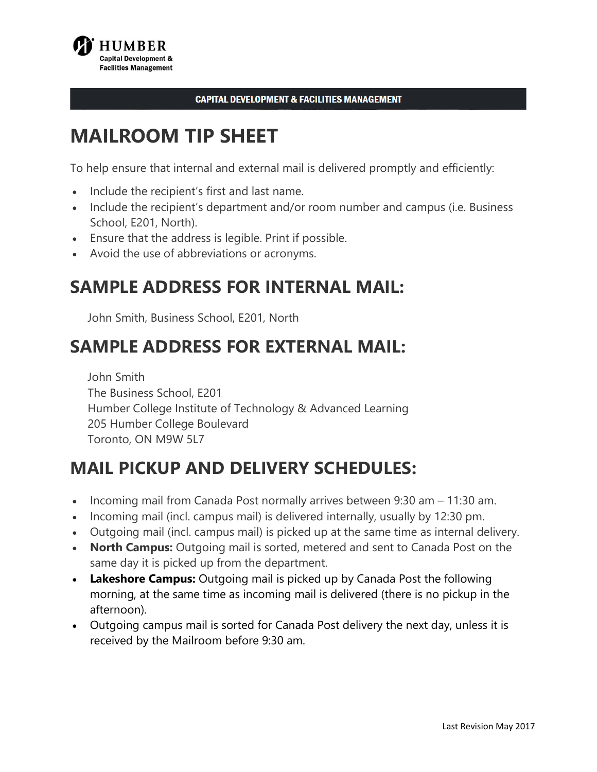

#### **CAPITAL DEVELOPMENT & FACILITIES MANAGEMENT**

# **MAILROOM TIP SHEET**

To help ensure that internal and external mail is delivered promptly and efficiently:

- Include the recipient's first and last name.
- • Include the recipient's department and/or room number and campus (i.e. Business School, E201, North).
- Ensure that the address is legible. Print if possible.
- Avoid the use of abbreviations or acronyms.

### **SAMPLE ADDRESS FOR INTERNAL MAIL:**

John Smith, Business School, E201, North

### **SAMPLE ADDRESS FOR EXTERNAL MAIL:**

John Smith The Business School, E201 Humber College Institute of Technology & Advanced Learning 205 Humber College Boulevard Toronto, ON M9W 5L7

### **MAIL PICKUP AND DELIVERY SCHEDULES:**

- Incoming mail from Canada Post normally arrives between 9:30 am 11:30 am.
- Incoming mail (incl. campus mail) is delivered internally, usually by 12:30 pm.
- Outgoing mail (incl. campus mail) is picked up at the same time as internal delivery.
- **North Campus:** Outgoing mail is sorted, metered and sent to Canada Post on the same day it is picked up from the department.
- **Lakeshore Campus:** Outgoing mail is picked up by Canada Post the following morning, at the same time as incoming mail is delivered (there is no pickup in the afternoon).
- • Outgoing campus mail is sorted for Canada Post delivery the next day, unless it is received by the Mailroom before 9:30 am.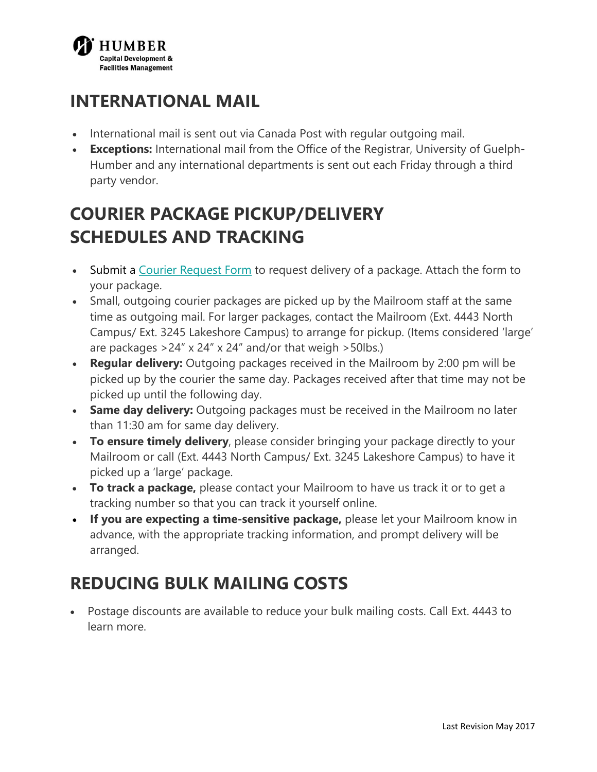

## **INTERNATIONAL MAIL**

- International mail is sent out via Canada Post with regular outgoing mail.
- **Exceptions:** International mail from the Office of the Registrar, University of Guelph-Humber and any international departments is sent out each Friday through a third party vendor.

# **COURIER PACKAGE PICKUP/DELIVERY SCHEDULES AND TRACKING**

- [Submit a Courier Request Form](http://www.humber.ca/facilities/facilities-management/mailroom/courier-request-form) to request delivery of a package. Attach the form to your package.
- • Small, outgoing courier packages are picked up by the Mailroom staff at the same are packages >24" x 24" x 24" and/or that weigh >50lbs.) time as outgoing mail. For larger packages, contact the Mailroom (Ext. 4443 North Campus/ Ext. 3245 Lakeshore Campus) to arrange for pickup. (Items considered 'large'
- **Regular delivery:** Outgoing packages received in the Mailroom by 2:00 pm will be picked up by the courier the same day. Packages received after that time may not be picked up until the following day.
- **Same day delivery:** Outgoing packages must be received in the Mailroom no later than 11:30 am for same day delivery.
- picked up a 'large' package. • **To ensure timely delivery**, please consider bringing your package directly to your Mailroom or call (Ext. 4443 North Campus/ Ext. 3245 Lakeshore Campus) to have it
- tracking number so that you can track it yourself online. • **To track a package,** please contact your Mailroom to have us track it or to get a
- arranged. • **If you are expecting a time-sensitive package,** please let your Mailroom know in advance, with the appropriate tracking information, and prompt delivery will be

# **REDUCING BULK MAILING COSTS**

• Postage discounts are available to reduce your bulk mailing costs. Call Ext. 4443 to learn more.